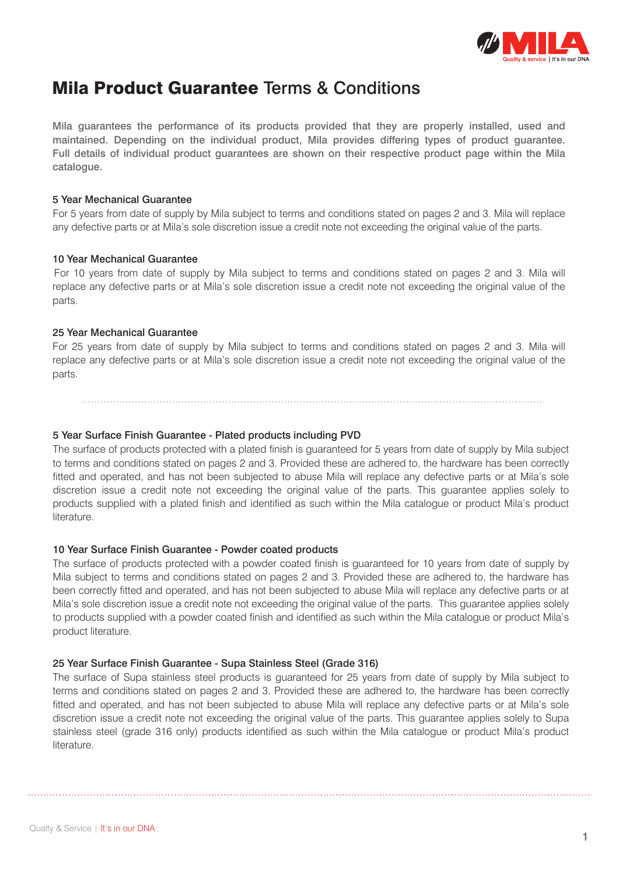

## Mila Product Guarantee Terms & Conditions

Mila guarantees the performance of its products provided that they are properly installed, used and maintained. Depending on the individual product, Mila provides differing types of product guarantee. Full details of individual product guarantees are shown on their respective product page within the Mila catalogue.

### 5 Year Mechanical Guarantee

For 5 years from date of supply by Mila subject to terms and conditions stated on pages 2 and 3. Mila will replace any defective parts or at Mila's sole discretion issue a credit note not exceeding the original value of the parts.

### 10 Year Mechanical Guarantee

For 10 years from date of supply by Mila subject to terms and conditions stated on pages 2 and 3. Mila will replace any defective parts or at Mila's sole discretion issue a credit note not exceeding the original value of the parts.

### 25 Year Mechanical Guarantee

For 25 years from date of supply by Mila subject to terms and conditions stated on pages 2 and 3. Mila will replace any defective parts or at Mila's sole discretion issue a credit note not exceeding the original value of the parts.

5 Year Surface Finish Guarantee - Plated products including PVD The surface of products protected with a plated finish is guaranteed for 5 years from date of supply by Mila subject to terms and conditions stated on pages 2 and 3. Provided these are adhered to, the hardware has been correctly fitted and operated, and has not been subjected to abuse Mila will replace any defective parts or at Mila's sole discretion issue a credit note not exceeding the original value of the parts. This guarantee applies solely to products supplied with a plated finish and identified as such within the Mila catalogue or product Mila's product literature.

### 10 Year Surface Finish Guarantee - Powder coated products

The surface of products protected with a powder coated finish is guaranteed for 10 years from date of supply by Mila subject to terms and conditions stated on pages 2 and 3. Provided these are adhered to, the hardware has been correctly fitted and operated, and has not been subjected to abuse Mila will replace any defective parts or at Mila's sole discretion issue a credit note not exceeding the original value of the parts. This guarantee applies solely to products supplied with a powder coated finish and identified as such within the Mila catalogue or product Mila's product literature.

### 25 Year Surface Finish Guarantee - Supa Stainless Steel (Grade 316)

The surface of Supa stainless steel products is guaranteed for 25 years from date of supply by Mila subject to terms and conditions stated on pages 2 and 3. Provided these are adhered to, the hardware has been correctly fitted and operated, and has not been subjected to abuse Mila will replace any defective parts or at Mila's sole discretion issue a credit note not exceeding the original value of the parts. This guarantee applies solely to Supa stainless steel (grade 316 only) products identified as such within the Mila catalogue or product Mila's product literature.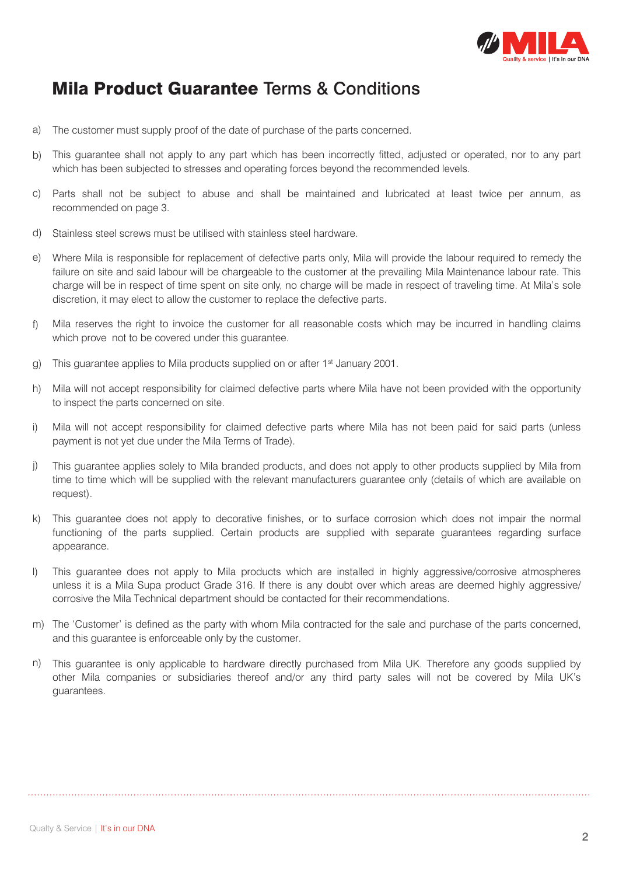

# Mila Product Guarantee Terms & Conditions

- The customer must supply proof of the date of purchase of the parts concerned. a)
- This guarantee shall not apply to any part which has been incorrectly fitted, adjusted or operated, nor to any part which has been subjected to stresses and operating forces beyond the recommended levels. b)
- c) Parts shall not be subject to abuse and shall be maintained and lubricated at least twice per annum, as recommended on page 3.
- Stainless steel screws must be utilised with stainless steel hardware. d)
- Where Mila is responsible for replacement of defective parts only, Mila will provide the labour required to remedy the failure on site and said labour will be chargeable to the customer at the prevailing Mila Maintenance labour rate. This charge will be in respect of time spent on site only, no charge will be made in respect of traveling time. At Mila's sole discretion, it may elect to allow the customer to replace the defective parts. e)
- Mila reserves the right to invoice the customer for all reasonable costs which may be incurred in handling claims which prove not to be covered under this quarantee. f)
- This guarantee applies to Mila products supplied on or after 1st January 2001. g)
- Mila will not accept responsibility for claimed defective parts where Mila have not been provided with the opportunity to inspect the parts concerned on site. h)
- Mila will not accept responsibility for claimed defective parts where Mila has not been paid for said parts (unless payment is not yet due under the Mila Terms of Trade). i)
- This guarantee applies solely to Mila branded products, and does not apply to other products supplied by Mila from time to time which will be supplied with the relevant manufacturers guarantee only (details of which are available on request). j)
- This guarantee does not apply to decorative finishes, or to surface corrosion which does not impair the normal k) functioning of the parts supplied. Certain products are supplied with separate guarantees regarding surface appearance.
- This guarantee does not apply to Mila products which are installed in highly aggressive/corrosive atmospheres unless it is a Mila Supa product Grade 316. If there is any doubt over which areas are deemed highly aggressive/ corrosive the Mila Technical department should be contacted for their recommendations.  $\vert$
- The 'Customer' is defined as the party with whom Mila contracted for the sale and purchase of the parts concerned, m) and this guarantee is enforceable only by the customer.
- This guarantee is only applicable to hardware directly purchased from Mila UK. Therefore any goods supplied by other Mila companies or subsidiaries thereof and/or any third party sales will not be covered by Mila UK's guarantees. n)